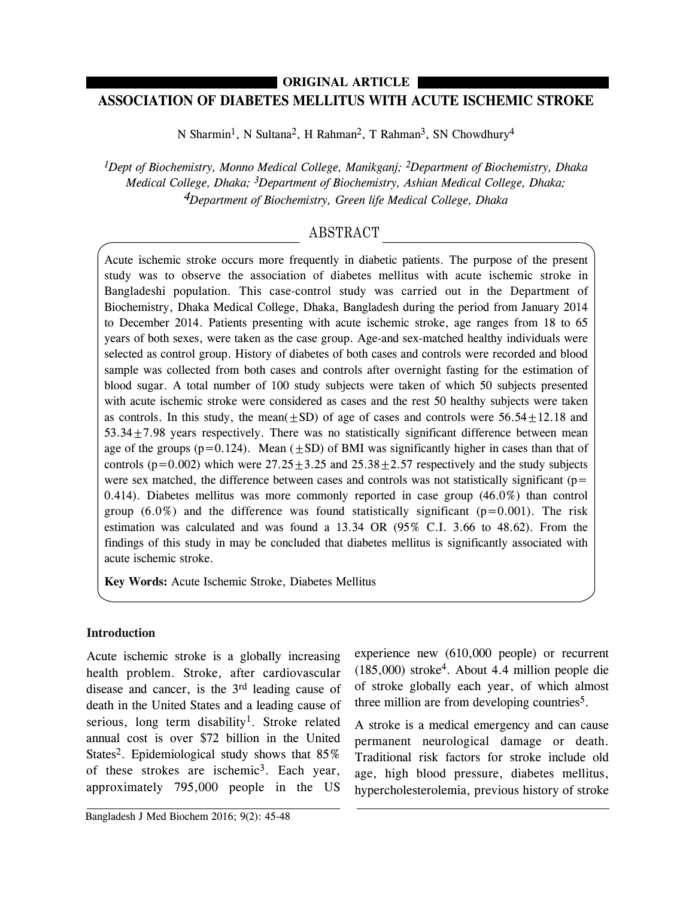# **ASSOCIATION OF DIABETES MELLITUS WITH ACUTE ISCHEMIC STROKE ORIGINAL ARTICLE**

N Sharmin<sup>1</sup>, N Sultana<sup>2</sup>, H Rahman<sup>2</sup>, T Rahman<sup>3</sup>, SN Chowdhury<sup>4</sup>

*1Dept of Biochemistry, Monno Medical College, Manikganj; 2Department of Biochemistry, Dhaka Medical College, Dhaka; 3Department of Biochemistry, Ashian Medical College, Dhaka; 4Department of Biochemistry, Green life Medical College, Dhaka*

## ABSTRACT

Acute ischemic stroke occurs more frequently in diabetic patients. The purpose of the present study was to observe the association of diabetes mellitus with acute ischemic stroke in Bangladeshi population. This case-control study was carried out in the Department of Biochemistry, Dhaka Medical College, Dhaka, Bangladesh during the period from January 2014 to December 2014. Patients presenting with acute ischemic stroke, age ranges from 18 to 65 years of both sexes, were taken as the case group. Age-and sex-matched healthy individuals were selected as control group. History of diabetes of both cases and controls were recorded and blood sample was collected from both cases and controls after overnight fasting for the estimation of blood sugar. A total number of 100 study subjects were taken of which 50 subjects presented with acute ischemic stroke were considered as cases and the rest 50 healthy subjects were taken as controls. In this study, the mean( $+SD$ ) of age of cases and controls were  $56.54+12.18$  and 53.34±7.98 years respectively. There was no statistically significant difference between mean age of the groups (p=0.124). Mean  $(\pm SD)$  of BMI was significantly higher in cases than that of controls ( $p=0.002$ ) which were  $27.25 \pm 3.25$  and  $25.38 \pm 2.57$  respectively and the study subjects were sex matched, the difference between cases and controls was not statistically significant ( $p=$ 0.414). Diabetes mellitus was more commonly reported in case group (46.0%) than control group  $(6.0\%)$  and the difference was found statistically significant ( $p=0.001$ ). The risk estimation was calculated and was found a 13.34 OR (95% C.I. 3.66 to 48.62). From the findings of this study in may be concluded that diabetes mellitus is significantly associated with acute ischemic stroke.

**Key Words:** Acute Ischemic Stroke, Diabetes Mellitus

### **Introduction**

Acute ischemic stroke is a globally increasing health problem. Stroke, after cardiovascular disease and cancer, is the 3rd leading cause of death in the United States and a leading cause of serious, long term disability<sup>1</sup>. Stroke related annual cost is over \$72 billion in the United States<sup>2</sup>. Epidemiological study shows that 85% of these strokes are ischemic<sup>3</sup>. Each year, approximately 795,000 people in the US

Bangladesh J Med Biochem 2016; 9(2): 45-48

experience new (610,000 people) or recurrent (185,000) stroke4. About 4.4 million people die of stroke globally each year, of which almost three million are from developing countries<sup>5</sup>.

A stroke is a medical emergency and can cause permanent neurological damage or death. Traditional risk factors for stroke include old age, high blood pressure, diabetes mellitus, hypercholesterolemia, previous history of stroke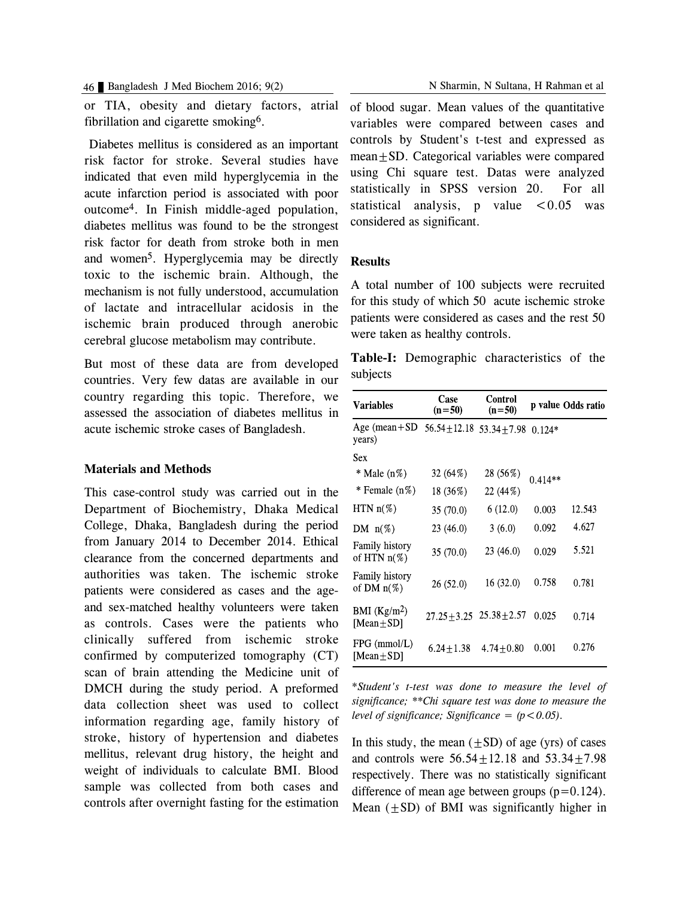or TIA, obesity and dietary factors, atrial fibrillation and cigarette smoking6.

Diabetes mellitus is considered as an important risk factor for stroke. Several studies have indicated that even mild hyperglycemia in the acute infarction period is associated with poor outcome4. In Finish middle-aged population, diabetes mellitus was found to be the strongest risk factor for death from stroke both in men and women5. Hyperglycemia may be directly toxic to the ischemic brain. Although, the mechanism is not fully understood, accumulation of lactate and intracellular acidosis in the ischemic brain produced through anerobic cerebral glucose metabolism may contribute.

But most of these data are from developed countries. Very few datas are available in our country regarding this topic. Therefore, we assessed the association of diabetes mellitus in acute ischemic stroke cases of Bangladesh.

#### **Materials and Methods**

This case-control study was carried out in the Department of Biochemistry, Dhaka Medical College, Dhaka, Bangladesh during the period from January 2014 to December 2014. Ethical clearance from the concerned departments and authorities was taken. The ischemic stroke patients were considered as cases and the ageand sex-matched healthy volunteers were taken as controls. Cases were the patients who clinically suffered from ischemic stroke confirmed by computerized tomography (CT) scan of brain attending the Medicine unit of DMCH during the study period. A preformed data collection sheet was used to collect information regarding age, family history of stroke, history of hypertension and diabetes mellitus, relevant drug history, the height and weight of individuals to calculate BMI. Blood sample was collected from both cases and controls after overnight fasting for the estimation

of blood sugar. Mean values of the quantitative variables were compared between cases and controls by Student's t-test and expressed as mean±SD. Categorical variables were compared using Chi square test. Datas were analyzed statistically in SPSS version 20. For all statistical analysis, p value  $\lt 0.05$  was considered as significant.

### **Results**

A total number of 100 subjects were recruited for this study of which 50 acute ischemic stroke patients were considered as cases and the rest 50 were taken as healthy controls.

**Table-I:** Demographic characteristics of the subjects

| <b>Variables</b>                        | Case<br>$(n=50)$ | Control<br>$(n=50)$               |           | p value Odds ratio |
|-----------------------------------------|------------------|-----------------------------------|-----------|--------------------|
| Age (mean + $SD$<br>years)              | $56.54 + 12.18$  | $53.34 + 7.98$ 0.124*             |           |                    |
| Sex                                     |                  |                                   |           |                    |
| * Male (n%)                             | 32(64%)          | 28 (56%)                          | $0.414**$ |                    |
| $*$ Female $(n\%)$                      | 18 (36%)         | 22 (44%)                          |           |                    |
| $HTN n(\%)$                             | 35(70.0)         | 6(12.0)                           | 0.003     | 12.543             |
| DM $n(\%)$                              | 23(46.0)         | 3(6.0)                            | 0.092     | 4.627              |
| <b>Family history</b><br>of HTN $n(\%)$ | 35 (70.0)        | 23 (46.0)                         | 0.029     | 5.521              |
| <b>Family history</b><br>of DM $n(\%)$  | 26(52.0)         | 16(32.0)                          | 0.758     | 0.781              |
| BMI $(Kg/m2)$<br>[Mean $\pm$ SD]        |                  | $27.25 \pm 3.25$ $25.38 \pm 2.57$ | 0.025     | 0.714              |
| $FPG$ (mmol/L)<br>[Mean $\pm$ SD]       | $6.24 + 1.38$    | $4.74 + 0.80$                     | 0.001     | 0.276              |

\**Student's t-test was done to measure the level of significance; \*\*Chi square test was done to measure the level of significance; Significance* =  $(p < 0.05)$ .

In this study, the mean  $(\pm SD)$  of age (yrs) of cases and controls were  $56.54 \pm 12.18$  and  $53.34 \pm 7.98$ respectively. There was no statistically significant difference of mean age between groups  $(p=0.124)$ . Mean  $(+SD)$  of BMI was significantly higher in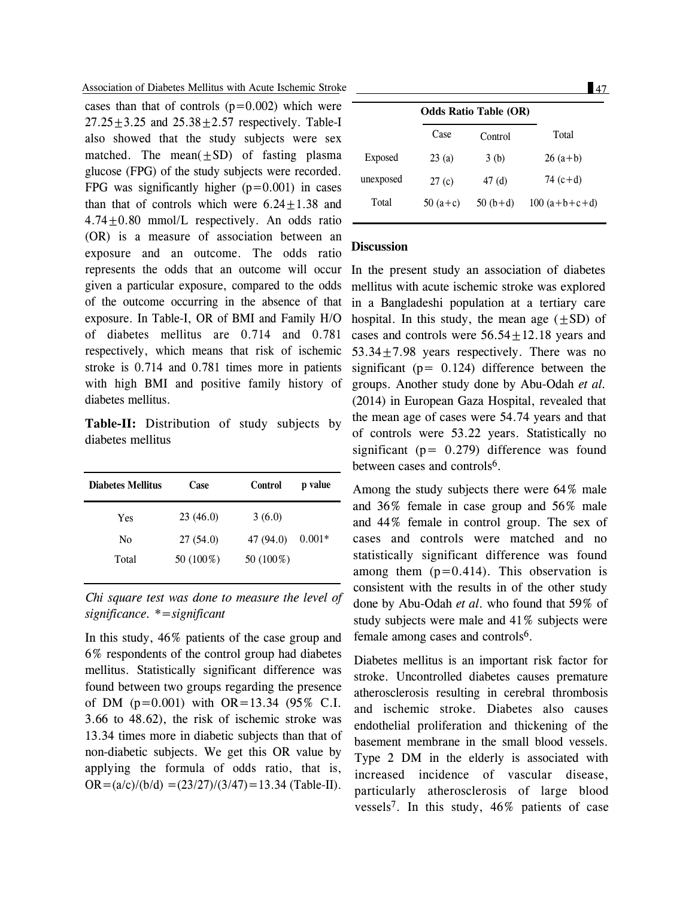Association of Diabetes Mellitus with Acute Ischemic Stroke 47

cases than that of controls  $(p=0.002)$  which were  $27.25 \pm 3.25$  and  $25.38 \pm 2.57$  respectively. Table-I also showed that the study subjects were sex matched. The mean $(\pm SD)$  of fasting plasma glucose (FPG) of the study subjects were recorded. FPG was significantly higher  $(p=0.001)$  in cases than that of controls which were  $6.24 \pm 1.38$  and  $4.74 \pm 0.80$  mmol/L respectively. An odds ratio (OR) is a measure of association between an exposure and an outcome. The odds ratio represents the odds that an outcome will occur In the present study an association of diabetes given a particular exposure, compared to the odds of the outcome occurring in the absence of that exposure. In Table-I, OR of BMI and Family H/O of diabetes mellitus are 0.714 and 0.781 respectively, which means that risk of ischemic stroke is 0.714 and 0.781 times more in patients with high BMI and positive family history of diabetes mellitus.

**Table-II:** Distribution of study subjects by diabetes mellitus

| <b>Diabetes Mellitus</b> | Case      | <b>Control</b> | p value  |
|--------------------------|-----------|----------------|----------|
| Yes                      | 23(46.0)  | 3(6.0)         |          |
| N0                       | 27(54.0)  | 47 (94.0)      | $0.001*$ |
| Total                    | 50 (100%) | 50 (100%)      |          |

*Chi square test was done to measure the level of significance. \*=significant*

In this study, 46% patients of the case group and 6% respondents of the control group had diabetes mellitus. Statistically significant difference was found between two groups regarding the presence of DM  $(p=0.001)$  with OR=13.34 (95% C.I. 3.66 to 48.62), the risk of ischemic stroke was 13.34 times more in diabetic subjects than that of non-diabetic subjects. We get this OR value by applying the formula of odds ratio, that is,  $OR = (a/c)/(b/d) = (23/27)/(3/47) = 13.34$  (Table-II).

|           | <b>Odds Ratio Table (OR)</b> |           |                |
|-----------|------------------------------|-----------|----------------|
|           | Case                         | Control   | Total          |
| Exposed   | 23(a)                        | 3(b)      | $26(a+b)$      |
| unexposed | 27(c)                        | 47(d)     | 74 $(c+d)$     |
| Total     | $50(a+c)$                    | $50(b+d)$ | $100(a+b+c+d)$ |
|           |                              |           |                |

#### **Discussion**

mellitus with acute ischemic stroke was explored in a Bangladeshi population at a tertiary care hospital. In this study, the mean age  $(+SD)$  of cases and controls were  $56.54+12.18$  years and 53.34±7.98 years respectively. There was no significant ( $p = 0.124$ ) difference between the groups. Another study done by Abu-Odah *et al.* (2014) in European Gaza Hospital, revealed that the mean age of cases were 54.74 years and that of controls were 53.22 years. Statistically no significant ( $p = 0.279$ ) difference was found between cases and controls<sup>6</sup>.

Among the study subjects there were 64% male and 36% female in case group and 56% male and 44% female in control group. The sex of cases and controls were matched and no statistically significant difference was found among them  $(p=0.414)$ . This observation is consistent with the results in of the other study done by Abu-Odah *et al*. who found that 59% of study subjects were male and 41% subjects were female among cases and controls<sup>6</sup>.

Diabetes mellitus is an important risk factor for stroke. Uncontrolled diabetes causes premature atherosclerosis resulting in cerebral thrombosis and ischemic stroke. Diabetes also causes endothelial proliferation and thickening of the basement membrane in the small blood vessels. Type 2 DM in the elderly is associated with increased incidence of vascular disease, particularly atherosclerosis of large blood vessels7. In this study, 46% patients of case